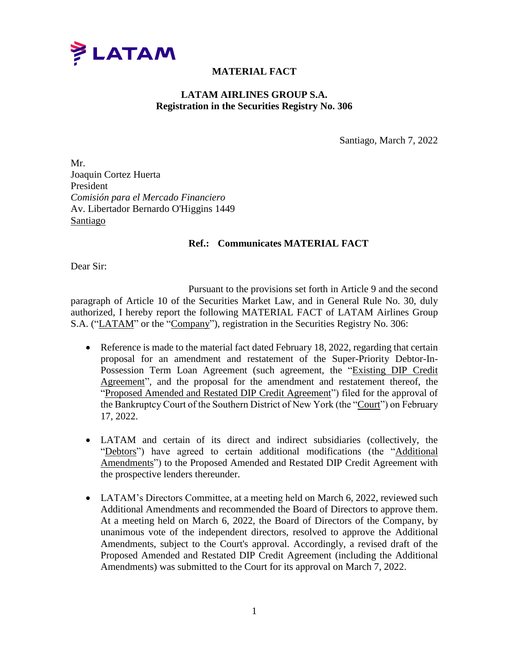

## **MATERIAL FACT**

## **LATAM AIRLINES GROUP S.A. Registration in the Securities Registry No. 306**

Santiago, March 7, 2022

Mr. Joaquin Cortez Huerta President *Comisión para el Mercado Financiero* Av. Libertador Bernardo O'Higgins 1449 Santiago

## **Ref.: Communicates MATERIAL FACT**

Dear Sir:

Pursuant to the provisions set forth in Article 9 and the second paragraph of Article 10 of the Securities Market Law, and in General Rule No. 30, duly authorized, I hereby report the following MATERIAL FACT of LATAM Airlines Group S.A. ("LATAM" or the "Company"), registration in the Securities Registry No. 306:

- Reference is made to the material fact dated February 18, 2022, regarding that certain proposal for an amendment and restatement of the Super-Priority Debtor-In-Possession Term Loan Agreement (such agreement, the "Existing DIP Credit Agreement", and the proposal for the amendment and restatement thereof, the "Proposed Amended and Restated DIP Credit Agreement") filed for the approval of the Bankruptcy Court of the Southern District of New York (the "Court") on February 17, 2022.
- LATAM and certain of its direct and indirect subsidiaries (collectively, the "Debtors") have agreed to certain additional modifications (the "Additional Amendments") to the Proposed Amended and Restated DIP Credit Agreement with the prospective lenders thereunder.
- LATAM's Directors Committee, at a meeting held on March 6, 2022, reviewed such Additional Amendments and recommended the Board of Directors to approve them. At a meeting held on March 6, 2022, the Board of Directors of the Company, by unanimous vote of the independent directors, resolved to approve the Additional Amendments, subject to the Court's approval. Accordingly, a revised draft of the Proposed Amended and Restated DIP Credit Agreement (including the Additional Amendments) was submitted to the Court for its approval on March 7, 2022.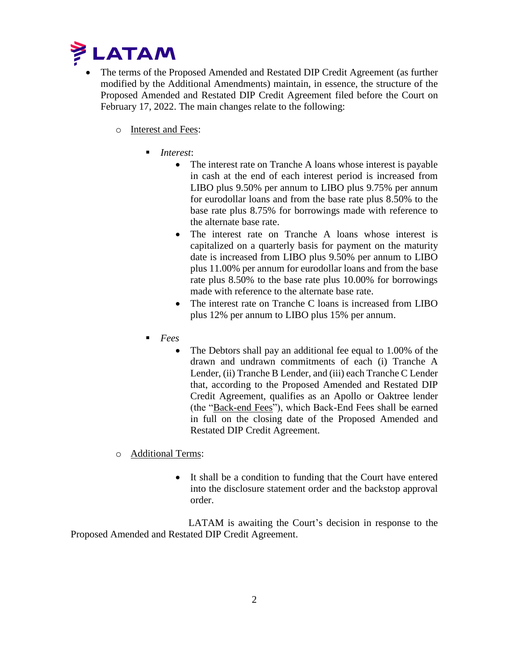

- The terms of the Proposed Amended and Restated DIP Credit Agreement (as further modified by the Additional Amendments) maintain, in essence, the structure of the Proposed Amended and Restated DIP Credit Agreement filed before the Court on February 17, 2022. The main changes relate to the following:
	- o Interest and Fees:
		- *Interest*:
			- The interest rate on Tranche A loans whose interest is payable in cash at the end of each interest period is increased from LIBO plus 9.50% per annum to LIBO plus 9.75% per annum for eurodollar loans and from the base rate plus 8.50% to the base rate plus 8.75% for borrowings made with reference to the alternate base rate.
			- The interest rate on Tranche A loans whose interest is capitalized on a quarterly basis for payment on the maturity date is increased from LIBO plus 9.50% per annum to LIBO plus 11.00% per annum for eurodollar loans and from the base rate plus 8.50% to the base rate plus 10.00% for borrowings made with reference to the alternate base rate.
			- The interest rate on Tranche C loans is increased from LIBO plus 12% per annum to LIBO plus 15% per annum.
		- *Fees*
			- The Debtors shall pay an additional fee equal to 1.00% of the drawn and undrawn commitments of each (i) Tranche A Lender, (ii) Tranche B Lender, and (iii) each Tranche C Lender that, according to the Proposed Amended and Restated DIP Credit Agreement, qualifies as an Apollo or Oaktree lender (the "Back-end Fees"), which Back-End Fees shall be earned in full on the closing date of the Proposed Amended and Restated DIP Credit Agreement.
	- o Additional Terms:
		- It shall be a condition to funding that the Court have entered into the disclosure statement order and the backstop approval order.

LATAM is awaiting the Court's decision in response to the Proposed Amended and Restated DIP Credit Agreement.